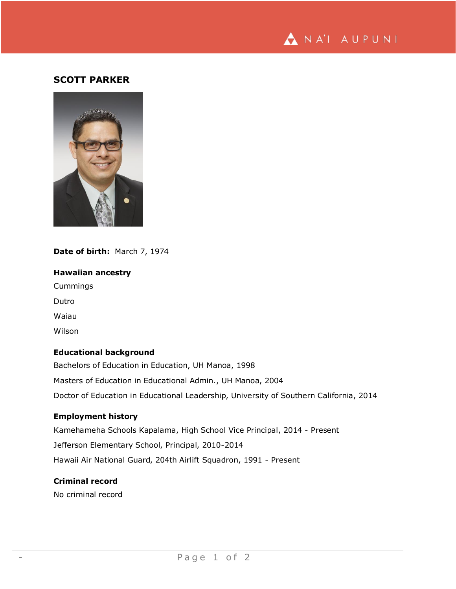

## **SCOTT PARKER**



# **Date of birth:** March 7, 1974

**Hawaiian ancestry** Cummings Dutro Waiau Wilson

## **Educational background**

Bachelors of Education in Education, UH Manoa, 1998 Masters of Education in Educational Admin., UH Manoa, 2004 Doctor of Education in Educational Leadership, University of Southern California, 2014

### **Employment history**

Kamehameha Schools Kapalama, High School Vice Principal, 2014 - Present Jefferson Elementary School, Principal, 2010-2014 Hawaii Air National Guard, 204th Airlift Squadron, 1991 - Present

### **Criminal record**

No criminal record